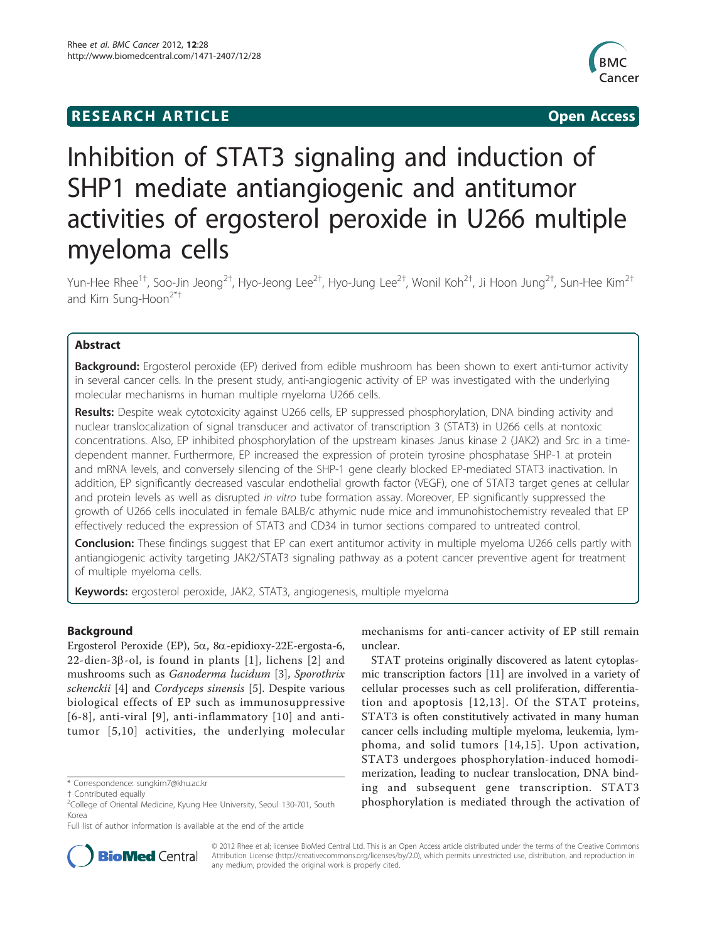# **RESEARCH ARTICLE Example 2018 CONSIDERING ACCESS**



# Inhibition of STAT3 signaling and induction of SHP1 mediate antiangiogenic and antitumor activities of ergosterol peroxide in U266 multiple myeloma cells

Yun-Hee Rhee $^{1\dagger}$ , Soo-Jin Jeong $^{2\dagger}$ , Hyo-Jeong Lee $^{2\dagger}$ , Hyo-Jung Lee $^{2\dagger}$ , Wonil Koh $^{2\dagger}$ , Ji Hoon Jung $^{2\dagger}$ , Sun-Hee Kim $^{2\dagger}$ and Kim Sung-Hoon $2^{*+}$ 

# Abstract

**Background:** Ergosterol peroxide (EP) derived from edible mushroom has been shown to exert anti-tumor activity in several cancer cells. In the present study, anti-angiogenic activity of EP was investigated with the underlying molecular mechanisms in human multiple myeloma U266 cells.

Results: Despite weak cytotoxicity against U266 cells, EP suppressed phosphorylation, DNA binding activity and nuclear translocalization of signal transducer and activator of transcription 3 (STAT3) in U266 cells at nontoxic concentrations. Also, EP inhibited phosphorylation of the upstream kinases Janus kinase 2 (JAK2) and Src in a timedependent manner. Furthermore, EP increased the expression of protein tyrosine phosphatase SHP-1 at protein and mRNA levels, and conversely silencing of the SHP-1 gene clearly blocked EP-mediated STAT3 inactivation. In addition, EP significantly decreased vascular endothelial growth factor (VEGF), one of STAT3 target genes at cellular and protein levels as well as disrupted in vitro tube formation assay. Moreover, EP significantly suppressed the growth of U266 cells inoculated in female BALB/c athymic nude mice and immunohistochemistry revealed that EP effectively reduced the expression of STAT3 and CD34 in tumor sections compared to untreated control.

Conclusion: These findings suggest that EP can exert antitumor activity in multiple myeloma U266 cells partly with antiangiogenic activity targeting JAK2/STAT3 signaling pathway as a potent cancer preventive agent for treatment of multiple myeloma cells.

Keywords: ergosterol peroxide, JAK2, STAT3, angiogenesis, multiple myeloma

# Background

Ergosterol Peroxide (EP), 5a, 8a-epidioxy-22E-ergosta-6,  $22$ -dien-3 $\beta$ -ol, is found in plants [\[1\]](#page-9-0), lichens [\[2\]](#page-9-0) and mushrooms such as Ganoderma lucidum [\[3](#page-9-0)], Sporothrix schenckii [[4\]](#page-9-0) and Cordyceps sinensis [[5\]](#page-9-0). Despite various biological effects of EP such as immunosuppressive [[6-8\]](#page-9-0), anti-viral [\[9\]](#page-9-0), anti-inflammatory [[10](#page-9-0)] and antitumor [[5,10\]](#page-9-0) activities, the underlying molecular

mechanisms for anti-cancer activity of EP still remain unclear.

STAT proteins originally discovered as latent cytoplasmic transcription factors [\[11](#page-9-0)] are involved in a variety of cellular processes such as cell proliferation, differentiation and apoptosis [[12](#page-9-0),[13\]](#page-9-0). Of the STAT proteins, STAT3 is often constitutively activated in many human cancer cells including multiple myeloma, leukemia, lymphoma, and solid tumors [\[14](#page-9-0),[15\]](#page-9-0). Upon activation, STAT3 undergoes phosphorylation-induced homodimerization, leading to nuclear translocation, DNA binding and subsequent gene transcription. STAT3 phosphorylation is mediated through the activation of



© 2012 Rhee et al; licensee BioMed Central Ltd. This is an Open Access article distributed under the terms of the Creative Commons Attribution License [\(http://creativecommons.org/licenses/by/2.0](http://creativecommons.org/licenses/by/2.0)), which permits unrestricted use, distribution, and reproduction in any medium, provided the original work is properly cited.

<sup>\*</sup> Correspondence: [sungkim7@khu.ac.kr](mailto:sungkim7@khu.ac.kr)

<sup>†</sup> Contributed equally <sup>2</sup>

 $2$ College of Oriental Medicine, Kyung Hee University, Seoul 130-701, South Korea

Full list of author information is available at the end of the article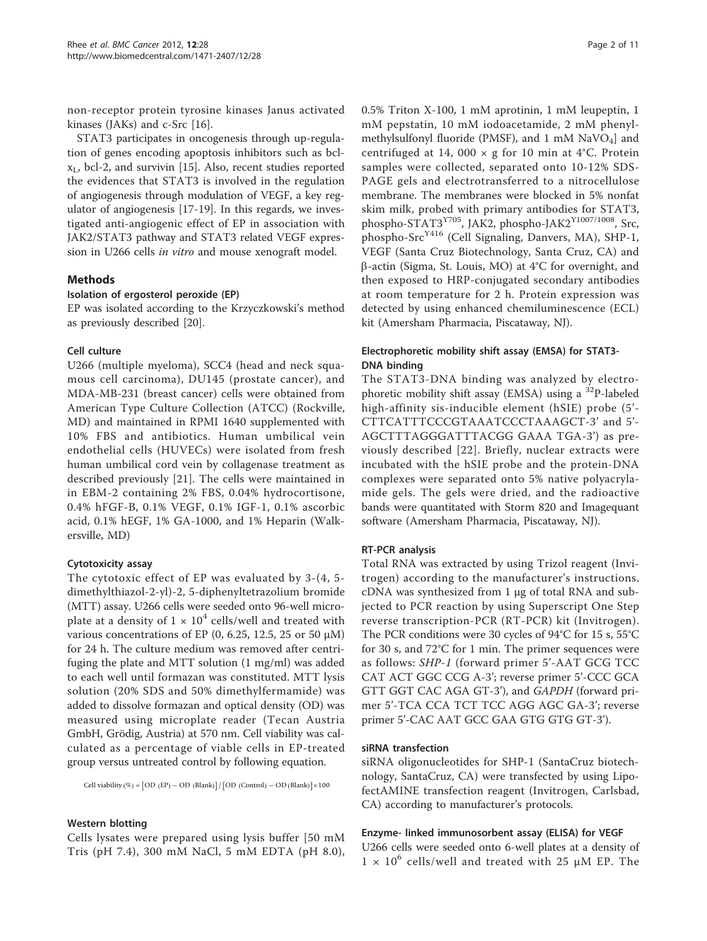non-receptor protein tyrosine kinases Janus activated kinases (JAKs) and c-Src [\[16](#page-9-0)].

STAT3 participates in oncogenesis through up-regulation of genes encoding apoptosis inhibitors such as bcl $x_L$ , bcl-2, and survivin [[15\]](#page-9-0). Also, recent studies reported the evidences that STAT3 is involved in the regulation of angiogenesis through modulation of VEGF, a key regulator of angiogenesis [[17-19\]](#page-9-0). In this regards, we investigated anti-angiogenic effect of EP in association with JAK2/STAT3 pathway and STAT3 related VEGF expression in U266 cells in vitro and mouse xenograft model.

# Methods

# Isolation of ergosterol peroxide (EP)

EP was isolated according to the Krzyczkowski's method as previously described [[20](#page-9-0)].

# Cell culture

U266 (multiple myeloma), SCC4 (head and neck squamous cell carcinoma), DU145 (prostate cancer), and MDA-MB-231 (breast cancer) cells were obtained from American Type Culture Collection (ATCC) (Rockville, MD) and maintained in RPMI 1640 supplemented with 10% FBS and antibiotics. Human umbilical vein endothelial cells (HUVECs) were isolated from fresh human umbilical cord vein by collagenase treatment as described previously [[21\]](#page-9-0). The cells were maintained in in EBM-2 containing 2% FBS, 0.04% hydrocortisone, 0.4% hFGF-B, 0.1% VEGF, 0.1% IGF-1, 0.1% ascorbic acid, 0.1% hEGF, 1% GA-1000, and 1% Heparin (Walkersville, MD)

# Cytotoxicity assay

The cytotoxic effect of EP was evaluated by 3-(4, 5 dimethylthiazol-2-yl)-2, 5-diphenyltetrazolium bromide (MTT) assay. U266 cells were seeded onto 96-well microplate at a density of  $1 \times 10^4$  cells/well and treated with various concentrations of EP (0, 6.25, 12.5, 25 or 50  $\mu$ M) for 24 h. The culture medium was removed after centrifuging the plate and MTT solution (1 mg/ml) was added to each well until formazan was constituted. MTT lysis solution (20% SDS and 50% dimethylfermamide) was added to dissolve formazan and optical density (OD) was measured using microplate reader (Tecan Austria GmbH, Grödig, Austria) at 570 nm. Cell viability was calculated as a percentage of viable cells in EP-treated group versus untreated control by following equation.

 $Cell$  viability  $(\%) = [OD (EP) - OD (Blank)] / [OD (Control) - OD (Blank)] \times 100$ 

#### Western blotting

Cells lysates were prepared using lysis buffer [50 mM Tris (pH 7.4), 300 mM NaCl, 5 mM EDTA (pH 8.0), 0.5% Triton X-100, 1 mM aprotinin, 1 mM leupeptin, 1 mM pepstatin, 10 mM iodoacetamide, 2 mM phenylmethylsulfonyl fluoride (PMSF), and 1 mM  $NaVO<sub>4</sub>$ ] and centrifuged at 14, 000  $\times$  g for 10 min at 4°C. Protein samples were collected, separated onto 10-12% SDS-PAGE gels and electrotransferred to a nitrocellulose membrane. The membranes were blocked in 5% nonfat skim milk, probed with primary antibodies for STAT3, phospho-STAT3<sup>Y705</sup>, JAK2, phospho-JAK2<sup>Y1007/1008</sup>, Src, phospho-Src<sup>Y416</sup> (Cell Signaling, Danvers, MA), SHP-1, VEGF (Santa Cruz Biotechnology, Santa Cruz, CA) and  $\beta$ -actin (Sigma, St. Louis, MO) at 4°C for overnight, and then exposed to HRP-conjugated secondary antibodies at room temperature for 2 h. Protein expression was detected by using enhanced chemiluminescence (ECL) kit (Amersham Pharmacia, Piscataway, NJ).

# Electrophoretic mobility shift assay (EMSA) for STAT3- DNA binding

The STAT3-DNA binding was analyzed by electrophoretic mobility shift assay (EMSA) using a  $^{32}P$ -labeled high-affinity sis-inducible element (hSIE) probe (5'- CTTCATTTCCCGTAAATCCCTAAAGCT-3' and 5'- AGCTTTAGGGATTTACGG GAAA TGA-3') as previously described [[22\]](#page-9-0). Briefly, nuclear extracts were incubated with the hSIE probe and the protein-DNA complexes were separated onto 5% native polyacrylamide gels. The gels were dried, and the radioactive bands were quantitated with Storm 820 and Imagequant software (Amersham Pharmacia, Piscataway, NJ).

# RT-PCR analysis

Total RNA was extracted by using Trizol reagent (Invitrogen) according to the manufacturer's instructions. cDNA was synthesized from 1 μg of total RNA and subjected to PCR reaction by using Superscript One Step reverse transcription-PCR (RT-PCR) kit (Invitrogen). The PCR conditions were 30 cycles of 94°C for 15 s, 55°C for 30 s, and 72°C for 1 min. The primer sequences were as follows: SHP-1 (forward primer 5'-AAT GCG TCC CAT ACT GGC CCG A-3'; reverse primer 5'-CCC GCA GTT GGT CAC AGA GT-3'), and GAPDH (forward primer 5'-TCA CCA TCT TCC AGG AGC GA-3'; reverse primer 5'-CAC AAT GCC GAA GTG GTG GT-3').

# siRNA transfection

siRNA oligonucleotides for SHP-1 (SantaCruz biotechnology, SantaCruz, CA) were transfected by using LipofectAMINE transfection reagent (Invitrogen, Carlsbad, CA) according to manufacturer's protocols.

#### Enzyme- linked immunosorbent assay (ELISA) for VEGF

U266 cells were seeded onto 6-well plates at a density of  $1 \times 10^6$  cells/well and treated with 25 µM EP. The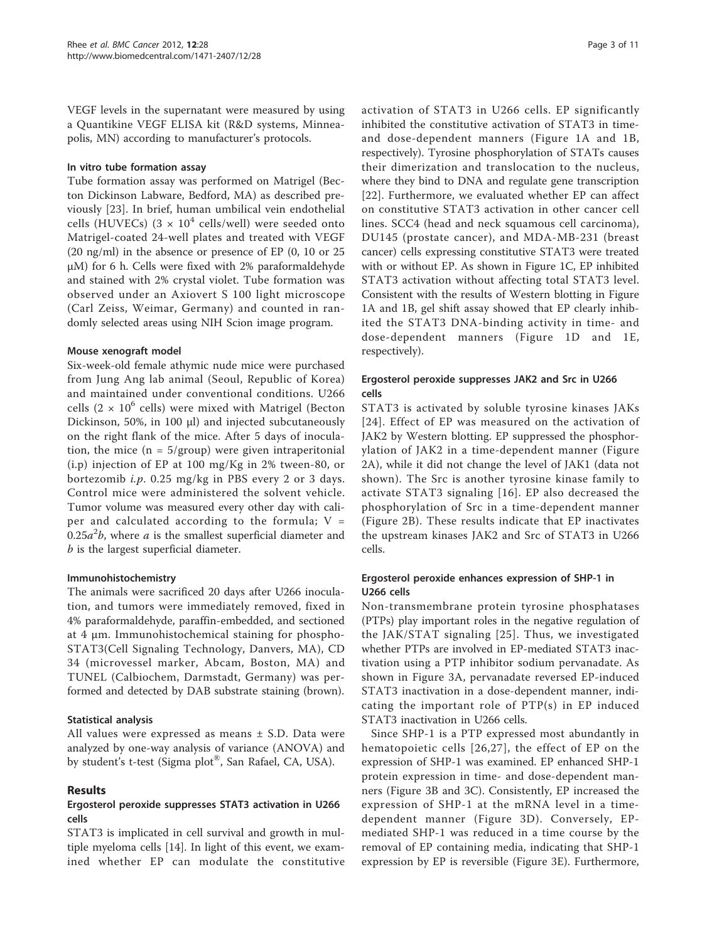VEGF levels in the supernatant were measured by using a Quantikine VEGF ELISA kit (R&D systems, Minneapolis, MN) according to manufacturer's protocols.

#### In vitro tube formation assay

Tube formation assay was performed on Matrigel (Becton Dickinson Labware, Bedford, MA) as described previously [\[23\]](#page-9-0). In brief, human umbilical vein endothelial cells (HUVECs)  $(3 \times 10^4 \text{ cells/well})$  were seeded onto Matrigel-coated 24-well plates and treated with VEGF (20 ng/ml) in the absence or presence of EP (0, 10 or 25 μM) for 6 h. Cells were fixed with 2% paraformaldehyde and stained with 2% crystal violet. Tube formation was observed under an Axiovert S 100 light microscope (Carl Zeiss, Weimar, Germany) and counted in randomly selected areas using NIH Scion image program.

#### Mouse xenograft model

Six-week-old female athymic nude mice were purchased from Jung Ang lab animal (Seoul, Republic of Korea) and maintained under conventional conditions. U266 cells (2  $\times$  10<sup>6</sup> cells) were mixed with Matrigel (Becton Dickinson, 50%, in 100 μl) and injected subcutaneously on the right flank of the mice. After 5 days of inoculation, the mice  $(n = 5/$ group) were given intraperitonial (i.p) injection of EP at 100 mg/Kg in 2% tween-80, or bortezomib i.p. 0.25 mg/kg in PBS every 2 or 3 days. Control mice were administered the solvent vehicle. Tumor volume was measured every other day with caliper and calculated according to the formula;  $V =$ 0.25 $a^2b$ , where a is the smallest superficial diameter and b is the largest superficial diameter.

#### Immunohistochemistry

The animals were sacrificed 20 days after U266 inoculation, and tumors were immediately removed, fixed in 4% paraformaldehyde, paraffin-embedded, and sectioned at 4 μm. Immunohistochemical staining for phospho-STAT3(Cell Signaling Technology, Danvers, MA), CD 34 (microvessel marker, Abcam, Boston, MA) and TUNEL (Calbiochem, Darmstadt, Germany) was performed and detected by DAB substrate staining (brown).

#### Statistical analysis

All values were expressed as means ± S.D. Data were analyzed by one-way analysis of variance (ANOVA) and by student's t-test (Sigma plot®, San Rafael, CA, USA).

#### Results

# Ergosterol peroxide suppresses STAT3 activation in U266 cells

STAT3 is implicated in cell survival and growth in multiple myeloma cells [\[14](#page-9-0)]. In light of this event, we examined whether EP can modulate the constitutive activation of STAT3 in U266 cells. EP significantly inhibited the constitutive activation of STAT3 in timeand dose-dependent manners (Figure [1A](#page-3-0) and [1B](#page-3-0), respectively). Tyrosine phosphorylation of STATs causes their dimerization and translocation to the nucleus, where they bind to DNA and regulate gene transcription [[22](#page-9-0)]. Furthermore, we evaluated whether EP can affect on constitutive STAT3 activation in other cancer cell lines. SCC4 (head and neck squamous cell carcinoma), DU145 (prostate cancer), and MDA-MB-231 (breast cancer) cells expressing constitutive STAT3 were treated with or without EP. As shown in Figure [1C](#page-3-0), EP inhibited STAT3 activation without affecting total STAT3 level. Consistent with the results of Western blotting in Figure [1A](#page-3-0) and [1B](#page-3-0), gel shift assay showed that EP clearly inhibited the STAT3 DNA-binding activity in time- and dose-dependent manners (Figure [1D](#page-3-0) and [1E](#page-3-0), respectively).

# Ergosterol peroxide suppresses JAK2 and Src in U266 cells

STAT3 is activated by soluble tyrosine kinases JAKs [[24\]](#page-9-0). Effect of EP was measured on the activation of JAK2 by Western blotting. EP suppressed the phosphorylation of JAK2 in a time-dependent manner (Figure [2A\)](#page-4-0), while it did not change the level of JAK1 (data not shown). The Src is another tyrosine kinase family to activate STAT3 signaling [[16](#page-9-0)]. EP also decreased the phosphorylation of Src in a time-dependent manner (Figure [2B](#page-4-0)). These results indicate that EP inactivates the upstream kinases JAK2 and Src of STAT3 in U266 cells.

# Ergosterol peroxide enhances expression of SHP-1 in U266 cells

Non-transmembrane protein tyrosine phosphatases (PTPs) play important roles in the negative regulation of the JAK/STAT signaling [[25\]](#page-9-0). Thus, we investigated whether PTPs are involved in EP-mediated STAT3 inactivation using a PTP inhibitor sodium pervanadate. As shown in Figure [3A](#page-5-0), pervanadate reversed EP-induced STAT3 inactivation in a dose-dependent manner, indicating the important role of PTP(s) in EP induced STAT3 inactivation in U266 cells.

Since SHP-1 is a PTP expressed most abundantly in hematopoietic cells [[26,27](#page-9-0)], the effect of EP on the expression of SHP-1 was examined. EP enhanced SHP-1 protein expression in time- and dose-dependent manners (Figure [3B](#page-5-0) and [3C](#page-5-0)). Consistently, EP increased the expression of SHP-1 at the mRNA level in a timedependent manner (Figure [3D](#page-5-0)). Conversely, EPmediated SHP-1 was reduced in a time course by the removal of EP containing media, indicating that SHP-1 expression by EP is reversible (Figure [3E](#page-5-0)). Furthermore,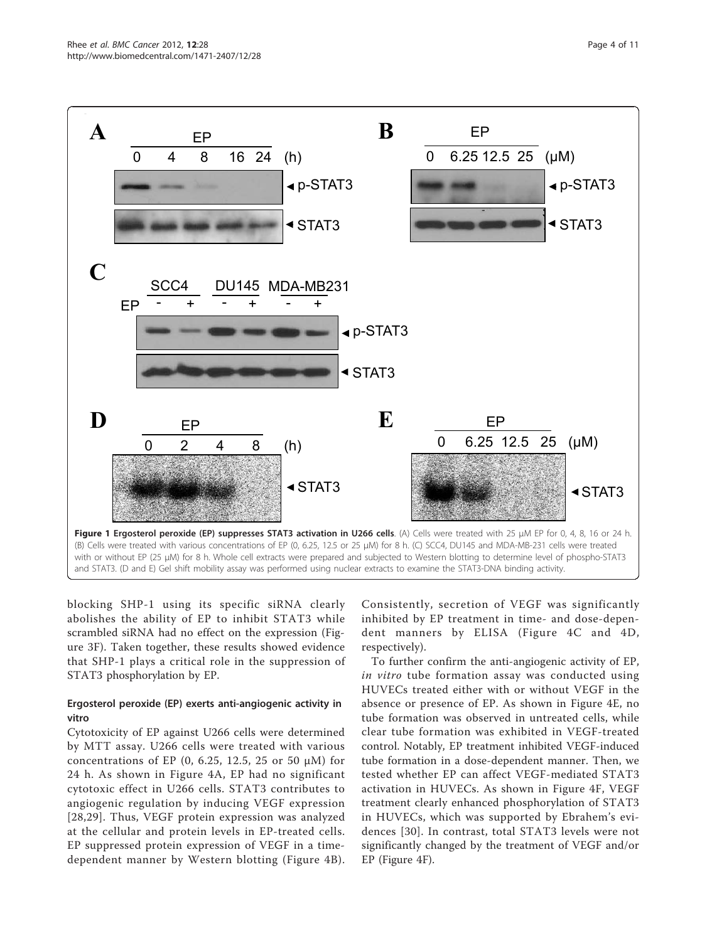<span id="page-3-0"></span>

blocking SHP-1 using its specific siRNA clearly abolishes the ability of EP to inhibit STAT3 while scrambled siRNA had no effect on the expression (Figure [3F](#page-5-0)). Taken together, these results showed evidence that SHP-1 plays a critical role in the suppression of STAT3 phosphorylation by EP.

# Ergosterol peroxide (EP) exerts anti-angiogenic activity in vitro

Cytotoxicity of EP against U266 cells were determined by MTT assay. U266 cells were treated with various concentrations of EP (0, 6.25, 12.5, 25 or 50  $\mu$ M) for 24 h. As shown in Figure [4A,](#page-6-0) EP had no significant cytotoxic effect in U266 cells. STAT3 contributes to angiogenic regulation by inducing VEGF expression [[28](#page-9-0),[29](#page-9-0)]. Thus, VEGF protein expression was analyzed at the cellular and protein levels in EP-treated cells. EP suppressed protein expression of VEGF in a timedependent manner by Western blotting (Figure [4B\)](#page-6-0).

Consistently, secretion of VEGF was significantly inhibited by EP treatment in time- and dose-dependent manners by ELISA (Figure [4C](#page-6-0) and [4D](#page-6-0), respectively).

To further confirm the anti-angiogenic activity of EP, in vitro tube formation assay was conducted using HUVECs treated either with or without VEGF in the absence or presence of EP. As shown in Figure [4E](#page-6-0), no tube formation was observed in untreated cells, while clear tube formation was exhibited in VEGF-treated control. Notably, EP treatment inhibited VEGF-induced tube formation in a dose-dependent manner. Then, we tested whether EP can affect VEGF-mediated STAT3 activation in HUVECs. As shown in Figure [4F](#page-6-0), VEGF treatment clearly enhanced phosphorylation of STAT3 in HUVECs, which was supported by Ebrahem's evidences [[30](#page-9-0)]. In contrast, total STAT3 levels were not significantly changed by the treatment of VEGF and/or EP (Figure [4F\)](#page-6-0).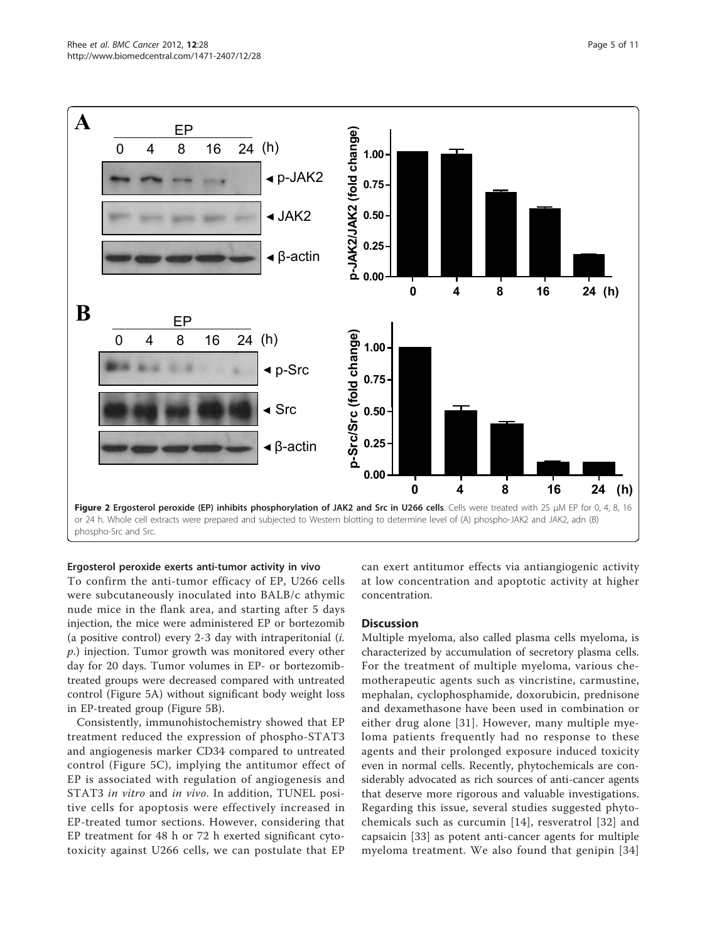<span id="page-4-0"></span>

Ergosterol peroxide exerts anti-tumor activity in vivo

To confirm the anti-tumor efficacy of EP, U266 cells were subcutaneously inoculated into BALB/c athymic nude mice in the flank area, and starting after 5 days injection, the mice were administered EP or bortezomib (a positive control) every 2-3 day with intraperitonial  $(i.$ p.) injection. Tumor growth was monitored every other day for 20 days. Tumor volumes in EP- or bortezomibtreated groups were decreased compared with untreated control (Figure [5A](#page-7-0)) without significant body weight loss in EP-treated group (Figure [5B\)](#page-7-0).

Consistently, immunohistochemistry showed that EP treatment reduced the expression of phospho-STAT3 and angiogenesis marker CD34 compared to untreated control (Figure [5C\)](#page-7-0), implying the antitumor effect of EP is associated with regulation of angiogenesis and STAT3 in vitro and in vivo. In addition, TUNEL positive cells for apoptosis were effectively increased in EP-treated tumor sections. However, considering that EP treatment for 48 h or 72 h exerted significant cytotoxicity against U266 cells, we can postulate that EP can exert antitumor effects via antiangiogenic activity at low concentration and apoptotic activity at higher concentration.

#### **Discussion**

Multiple myeloma, also called plasma cells myeloma, is characterized by accumulation of secretory plasma cells. For the treatment of multiple myeloma, various chemotherapeutic agents such as vincristine, carmustine, mephalan, cyclophosphamide, doxorubicin, prednisone and dexamethasone have been used in combination or either drug alone [[31](#page-9-0)]. However, many multiple myeloma patients frequently had no response to these agents and their prolonged exposure induced toxicity even in normal cells. Recently, phytochemicals are considerably advocated as rich sources of anti-cancer agents that deserve more rigorous and valuable investigations. Regarding this issue, several studies suggested phytochemicals such as curcumin [[14\]](#page-9-0), resveratrol [[32](#page-9-0)] and capsaicin [\[33](#page-9-0)] as potent anti-cancer agents for multiple myeloma treatment. We also found that genipin [[34](#page-9-0)]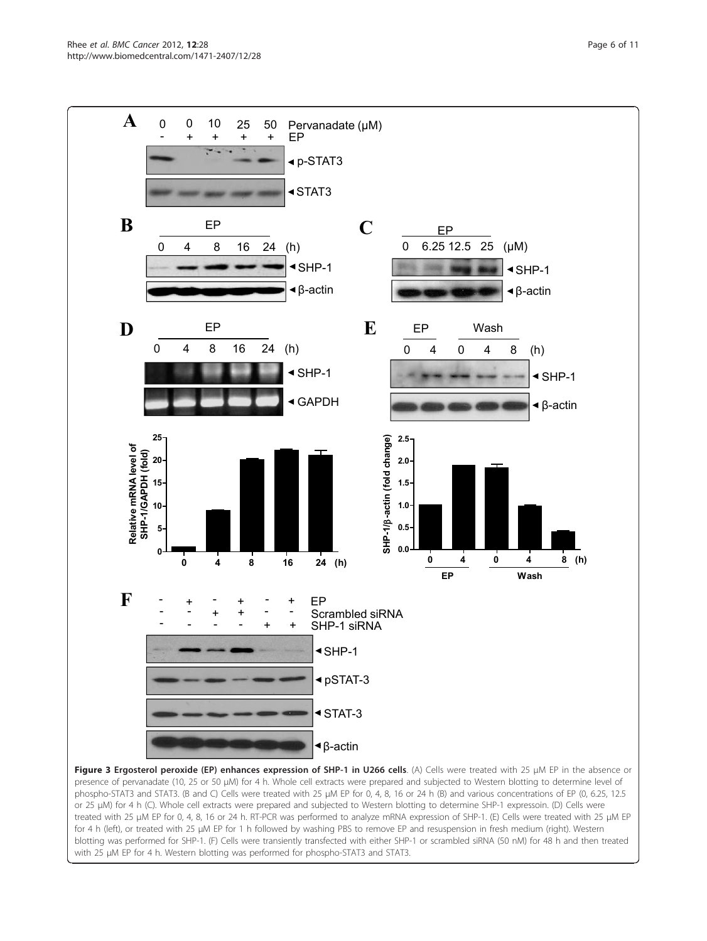<span id="page-5-0"></span>

or 25 μM) for 4 h (C). Whole cell extracts were prepared and subjected to Western blotting to determine SHP-1 expressoin. (D) Cells were treated with 25 μM EP for 0, 4, 8, 16 or 24 h. RT-PCR was performed to analyze mRNA expression of SHP-1. (E) Cells were treated with 25 μM EP for 4 h (left), or treated with 25 μM EP for 1 h followed by washing PBS to remove EP and resuspension in fresh medium (right). Western blotting was performed for SHP-1. (F) Cells were transiently transfected with either SHP-1 or scrambled siRNA (50 nM) for 48 h and then treated with 25 μM EP for 4 h. Western blotting was performed for phospho-STAT3 and STAT3.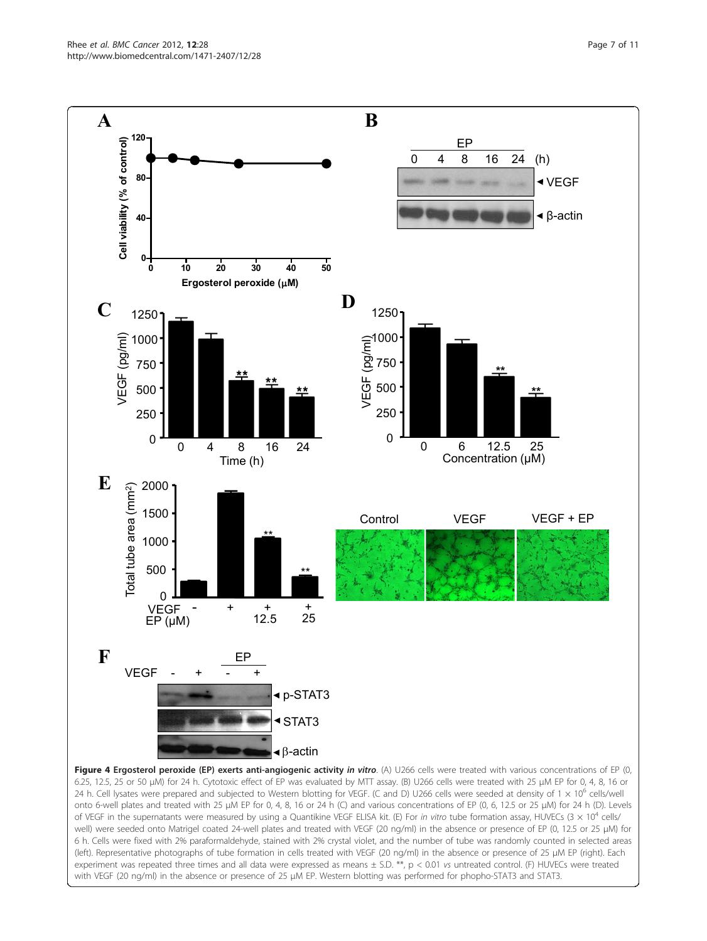<span id="page-6-0"></span>

experiment was repeated three times and all data were expressed as means  $\pm$  S.D. \*\*, p < 0.01 vs untreated control. (F) HUVECs were treated with VEGF (20 ng/ml) in the absence or presence of 25 μM EP. Western blotting was performed for phopho-STAT3 and STAT3.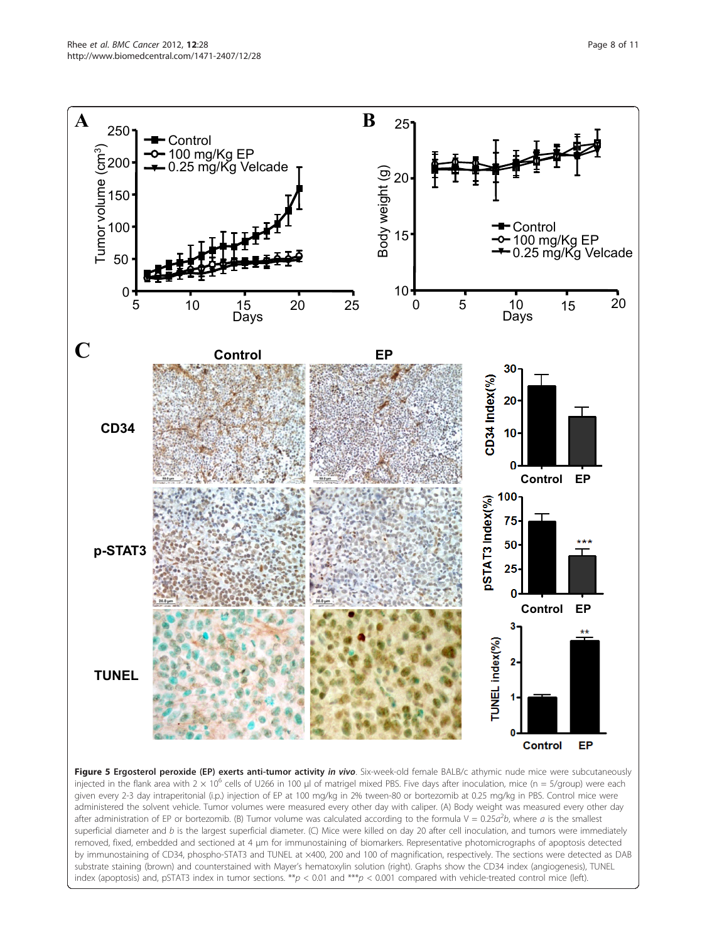<span id="page-7-0"></span>

Figure 5 Ergosterol peroxide (EP) exerts anti-tumor activity in vivo. Six-week-old female BALB/c athymic nude mice were subcutaneously injected in the flank area with  $2 \times 10^6$  cells of U266 in 100 µl of matrigel mixed PBS. Five days after inoculation, mice (n = 5/group) were each given every 2-3 day intraperitonial (i.p.) injection of EP at 100 mg/kg in 2% tween-80 or bortezomib at 0.25 mg/kg in PBS. Control mice were administered the solvent vehicle. Tumor volumes were measured every other day with caliper. (A) Body weight was measured every other day after administration of EP or bortezomib. (B) Tumor volume was calculated according to the formula  $V = 0.25a^2b$ , where a is the smallest superficial diameter and  $b$  is the largest superficial diameter. (C) Mice were killed on day 20 after cell inoculation, and tumors were immediately removed, fixed, embedded and sectioned at 4 μm for immunostaining of biomarkers. Representative photomicrographs of apoptosis detected by immunostaining of CD34, phospho-STAT3 and TUNEL at ×400, 200 and 100 of magnification, respectively. The sections were detected as DAB substrate staining (brown) and counterstained with Mayer's hematoxylin solution (right). Graphs show the CD34 index (angiogenesis), TUNEL index (apoptosis) and, pSTAT3 index in tumor sections. \*\*p < 0.01 and \*\*\*p < 0.001 compared with vehicle-treated control mice (left).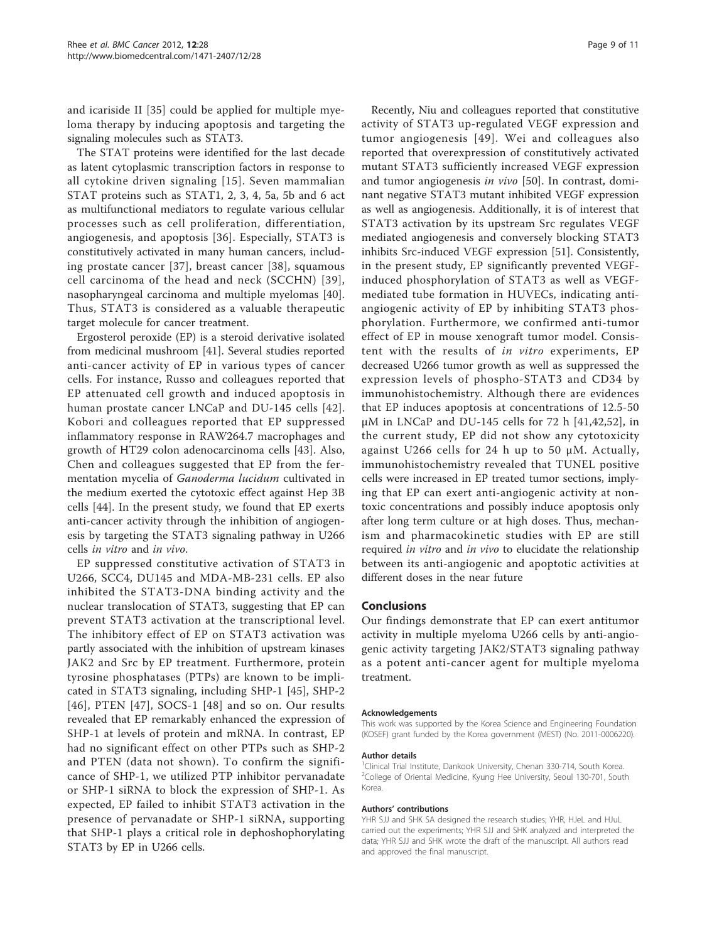and icariside II [[35\]](#page-9-0) could be applied for multiple myeloma therapy by inducing apoptosis and targeting the signaling molecules such as STAT3.

The STAT proteins were identified for the last decade as latent cytoplasmic transcription factors in response to all cytokine driven signaling [[15\]](#page-9-0). Seven mammalian STAT proteins such as STAT1, 2, 3, 4, 5a, 5b and 6 act as multifunctional mediators to regulate various cellular processes such as cell proliferation, differentiation, angiogenesis, and apoptosis [\[36\]](#page-9-0). Especially, STAT3 is constitutively activated in many human cancers, including prostate cancer [[37](#page-9-0)], breast cancer [[38](#page-9-0)], squamous cell carcinoma of the head and neck (SCCHN) [[39\]](#page-9-0), nasopharyngeal carcinoma and multiple myelomas [\[40](#page-9-0)]. Thus, STAT3 is considered as a valuable therapeutic target molecule for cancer treatment.

Ergosterol peroxide (EP) is a steroid derivative isolated from medicinal mushroom [[41\]](#page-10-0). Several studies reported anti-cancer activity of EP in various types of cancer cells. For instance, Russo and colleagues reported that EP attenuated cell growth and induced apoptosis in human prostate cancer LNCaP and DU-145 cells [[42](#page-10-0)]. Kobori and colleagues reported that EP suppressed inflammatory response in RAW264.7 macrophages and growth of HT29 colon adenocarcinoma cells [[43\]](#page-10-0). Also, Chen and colleagues suggested that EP from the fermentation mycelia of Ganoderma lucidum cultivated in the medium exerted the cytotoxic effect against Hep 3B cells [\[44](#page-10-0)]. In the present study, we found that EP exerts anti-cancer activity through the inhibition of angiogenesis by targeting the STAT3 signaling pathway in U266 cells in vitro and in vivo.

EP suppressed constitutive activation of STAT3 in U266, SCC4, DU145 and MDA-MB-231 cells. EP also inhibited the STAT3-DNA binding activity and the nuclear translocation of STAT3, suggesting that EP can prevent STAT3 activation at the transcriptional level. The inhibitory effect of EP on STAT3 activation was partly associated with the inhibition of upstream kinases JAK2 and Src by EP treatment. Furthermore, protein tyrosine phosphatases (PTPs) are known to be implicated in STAT3 signaling, including SHP-1 [[45\]](#page-10-0), SHP-2 [[46](#page-10-0)], PTEN [[47](#page-10-0)], SOCS-1 [[48\]](#page-10-0) and so on. Our results revealed that EP remarkably enhanced the expression of SHP-1 at levels of protein and mRNA. In contrast, EP had no significant effect on other PTPs such as SHP-2 and PTEN (data not shown). To confirm the significance of SHP-1, we utilized PTP inhibitor pervanadate or SHP-1 siRNA to block the expression of SHP-1. As expected, EP failed to inhibit STAT3 activation in the presence of pervanadate or SHP-1 siRNA, supporting that SHP-1 plays a critical role in dephoshophorylating STAT3 by EP in U266 cells.

Recently, Niu and colleagues reported that constitutive activity of STAT3 up-regulated VEGF expression and tumor angiogenesis [[49\]](#page-10-0). Wei and colleagues also reported that overexpression of constitutively activated mutant STAT3 sufficiently increased VEGF expression and tumor angiogenesis in vivo [[50](#page-10-0)]. In contrast, dominant negative STAT3 mutant inhibited VEGF expression as well as angiogenesis. Additionally, it is of interest that STAT3 activation by its upstream Src regulates VEGF mediated angiogenesis and conversely blocking STAT3 inhibits Src-induced VEGF expression [[51\]](#page-10-0). Consistently, in the present study, EP significantly prevented VEGFinduced phosphorylation of STAT3 as well as VEGFmediated tube formation in HUVECs, indicating antiangiogenic activity of EP by inhibiting STAT3 phosphorylation. Furthermore, we confirmed anti-tumor effect of EP in mouse xenograft tumor model. Consistent with the results of in vitro experiments, EP decreased U266 tumor growth as well as suppressed the expression levels of phospho-STAT3 and CD34 by immunohistochemistry. Although there are evidences that EP induces apoptosis at concentrations of 12.5-50 μM in LNCaP and DU-145 cells for 72 h  $[41,42,52]$  $[41,42,52]$  $[41,42,52]$ , in the current study, EP did not show any cytotoxicity against U266 cells for 24 h up to 50 μM. Actually, immunohistochemistry revealed that TUNEL positive cells were increased in EP treated tumor sections, implying that EP can exert anti-angiogenic activity at nontoxic concentrations and possibly induce apoptosis only after long term culture or at high doses. Thus, mechanism and pharmacokinetic studies with EP are still required in vitro and in vivo to elucidate the relationship between its anti-angiogenic and apoptotic activities at different doses in the near future

#### Conclusions

Our findings demonstrate that EP can exert antitumor activity in multiple myeloma U266 cells by anti-angiogenic activity targeting JAK2/STAT3 signaling pathway as a potent anti-cancer agent for multiple myeloma treatment.

#### Acknowledgements

This work was supported by the Korea Science and Engineering Foundation (KOSEF) grant funded by the Korea government (MEST) (No. 2011-0006220).

#### Author details

<sup>1</sup>Clinical Trial Institute, Dankook University, Chenan 330-714, South Korea. <sup>2</sup>College of Oriental Medicine, Kyung Hee University, Seoul 130-701, South Korea.

#### Authors' contributions

YHR SJJ and SHK SA designed the research studies; YHR, HJeL and HJuL carried out the experiments; YHR SJJ and SHK analyzed and interpreted the data; YHR SJJ and SHK wrote the draft of the manuscript. All authors read and approved the final manuscript.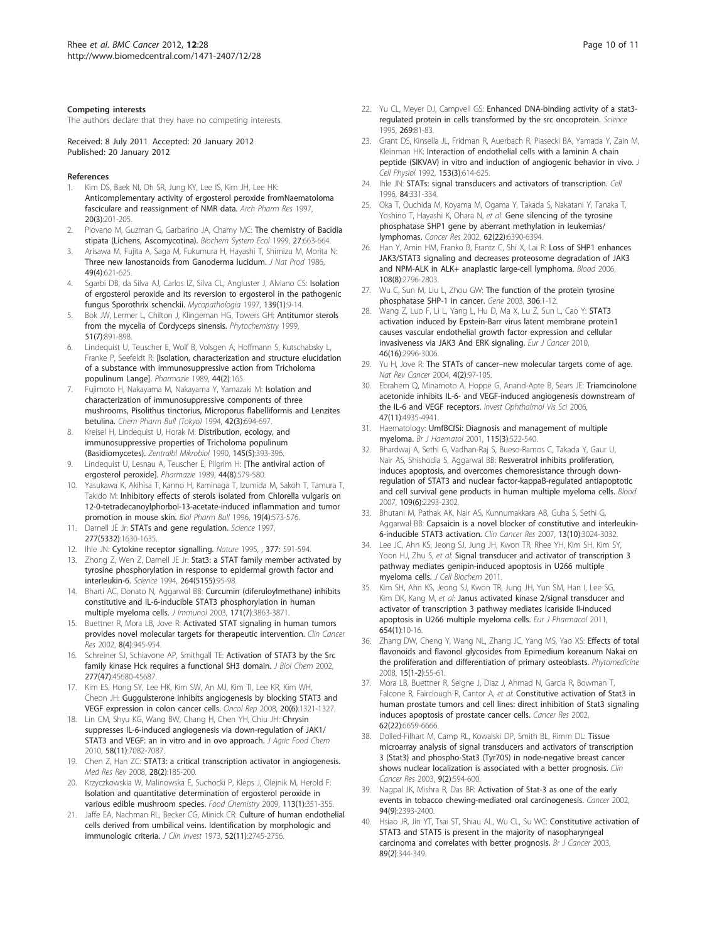#### <span id="page-9-0"></span>Competing interests

The authors declare that they have no competing interests.

Received: 8 July 2011 Accepted: 20 January 2012 Published: 20 January 2012

#### References

- 1. Kim DS, Baek NI, Oh SR, Jung KY, Lee IS, Kim JH, Lee HK: [Anticomplementary activity of ergosterol peroxide fromNaematoloma](http://www.ncbi.nlm.nih.gov/pubmed/18975152?dopt=Abstract) [fasciculare and reassignment of NMR data.](http://www.ncbi.nlm.nih.gov/pubmed/18975152?dopt=Abstract) Arch Pharm Res 1997, 20(3):201-205.
- 2. Piovano M, Guzman G, Garbarino JA, Chamy MC: The chemistry of Bacidia stipata (Lichens, Ascomycotina). Biochem System Ecol 1999, 27:663-664.
- 3. Arisawa M, Fujita A, Saga M, Fukumura H, Hayashi T, Shimizu M, Morita N: [Three new lanostanoids from Ganoderma lucidum.](http://www.ncbi.nlm.nih.gov/pubmed/3783158?dopt=Abstract) J Nat Prod 1986, 49(4):621-625.
- 4. Sgarbi DB, da Silva AJ, Carlos IZ, Silva CL, Angluster J, Alviano CS: [Isolation](http://www.ncbi.nlm.nih.gov/pubmed/9511231?dopt=Abstract) [of ergosterol peroxide and its reversion to ergosterol in the pathogenic](http://www.ncbi.nlm.nih.gov/pubmed/9511231?dopt=Abstract) [fungus Sporothrix schenckii.](http://www.ncbi.nlm.nih.gov/pubmed/9511231?dopt=Abstract) Mycopathologia 1997, 139(1):9-14.
- 5. Bok JW, Lermer L, Chilton J, Klingeman HG, Towers GH: [Antitumor sterols](http://www.ncbi.nlm.nih.gov/pubmed/10423860?dopt=Abstract) [from the mycelia of Cordyceps sinensis.](http://www.ncbi.nlm.nih.gov/pubmed/10423860?dopt=Abstract) Phytochemistry 1999, 51(7):891-898.
- 6. Lindequist U, Teuscher E, Wolf B, Volsgen A, Hoffmann S, Kutschabsky L, Franke P, Seefeldt R: [\[Isolation, characterization and structure elucidation](http://www.ncbi.nlm.nih.gov/pubmed/2748702?dopt=Abstract) [of a substance with immunosuppressive action from Tricholoma](http://www.ncbi.nlm.nih.gov/pubmed/2748702?dopt=Abstract) [populinum Lange\].](http://www.ncbi.nlm.nih.gov/pubmed/2748702?dopt=Abstract) Pharmazie 1989, 44(2):165.
- 7. Fujimoto H, Nakayama M, Nakayama Y, Yamazaki M: Isolation and characterization of immunosuppressive components of three mushrooms, Pisolithus tinctorius, Microporus flabelliformis and Lenzites betulina. Chem Pharm Bull (Tokyo) 1994, 42(3):694-697.
- Kreisel H, Lindequist U, Horak M: [Distribution, ecology, and](http://www.ncbi.nlm.nih.gov/pubmed/2220166?dopt=Abstract) [immunosuppressive properties of Tricholoma populinum](http://www.ncbi.nlm.nih.gov/pubmed/2220166?dopt=Abstract) [\(Basidiomycetes\).](http://www.ncbi.nlm.nih.gov/pubmed/2220166?dopt=Abstract) Zentralbl Mikrobiol 1990, 145(5):393-396.
- 9. Lindequist U, Lesnau A, Teuscher E, Pilgrim H: [\[The antiviral action of](http://www.ncbi.nlm.nih.gov/pubmed/2594833?dopt=Abstract) [ergosterol peroxide\].](http://www.ncbi.nlm.nih.gov/pubmed/2594833?dopt=Abstract) Pharmazie 1989, 44(8):579-580.
- 10. Yasukawa K, Akihisa T, Kanno H, Kaminaga T, Izumida M, Sakoh T, Tamura T, Takido M: [Inhibitory effects of sterols isolated from Chlorella vulgaris on](http://www.ncbi.nlm.nih.gov/pubmed/8860961?dopt=Abstract) [12-0-tetradecanoylphorbol-13-acetate-induced inflammation and tumor](http://www.ncbi.nlm.nih.gov/pubmed/8860961?dopt=Abstract) [promotion in mouse skin.](http://www.ncbi.nlm.nih.gov/pubmed/8860961?dopt=Abstract) Biol Pharm Bull 1996, 19(4):573-576.
- 11. Darnell JE Jr: [STATs and gene regulation.](http://www.ncbi.nlm.nih.gov/pubmed/9287210?dopt=Abstract) Science 1997,
- 277(5332):1630-1635. 12. Ihle JN: Cytokine receptor signalling. Nature 1995, , 377: 591-594.
- 13. Zhong Z, Wen Z, Darnell JE Jr: [Stat3: a STAT family member activated by](http://www.ncbi.nlm.nih.gov/pubmed/8140422?dopt=Abstract) [tyrosine phosphorylation in response to epidermal growth factor and](http://www.ncbi.nlm.nih.gov/pubmed/8140422?dopt=Abstract) [interleukin-6.](http://www.ncbi.nlm.nih.gov/pubmed/8140422?dopt=Abstract) Science 1994, 264(5155):95-98.
- 14. Bharti AC, Donato N, Aggarwal BB: [Curcumin \(diferuloylmethane\) inhibits](http://www.ncbi.nlm.nih.gov/pubmed/14500688?dopt=Abstract) [constitutive and IL-6-inducible STAT3 phosphorylation in human](http://www.ncbi.nlm.nih.gov/pubmed/14500688?dopt=Abstract) [multiple myeloma cells.](http://www.ncbi.nlm.nih.gov/pubmed/14500688?dopt=Abstract) J Immunol 2003, 171(7):3863-3871.
- 15. Buettner R, Mora LB, Jove R: [Activated STAT signaling in human tumors](http://www.ncbi.nlm.nih.gov/pubmed/11948098?dopt=Abstract) [provides novel molecular targets for therapeutic intervention.](http://www.ncbi.nlm.nih.gov/pubmed/11948098?dopt=Abstract) Clin Cancer Res 2002, 8(4):945-954.
- 16. Schreiner SJ, Schiavone AP, Smithgall TE: [Activation of STAT3 by the Src](http://www.ncbi.nlm.nih.gov/pubmed/12244095?dopt=Abstract) [family kinase Hck requires a functional SH3 domain.](http://www.ncbi.nlm.nih.gov/pubmed/12244095?dopt=Abstract) J Biol Chem 2002, 277(47):45680-45687.
- 17. Kim ES, Hong SY, Lee HK, Kim SW, An MJ, Kim TI, Lee KR, Kim WH, Cheon JH: [Guggulsterone inhibits angiogenesis by blocking STAT3 and](http://www.ncbi.nlm.nih.gov/pubmed/19020709?dopt=Abstract) [VEGF expression in colon cancer cells.](http://www.ncbi.nlm.nih.gov/pubmed/19020709?dopt=Abstract) Oncol Rep 2008, 20(6):1321-1327.
- 18. Lin CM, Shyu KG, Wang BW, Chang H, Chen YH, Chiu JH: [Chrysin](http://www.ncbi.nlm.nih.gov/pubmed/20443595?dopt=Abstract) [suppresses IL-6-induced angiogenesis via down-regulation of JAK1/](http://www.ncbi.nlm.nih.gov/pubmed/20443595?dopt=Abstract) [STAT3 and VEGF: an in vitro and in ovo approach.](http://www.ncbi.nlm.nih.gov/pubmed/20443595?dopt=Abstract) J Agric Food Chem 2010, 58(11):7082-7087.
- 19. Chen Z, Han ZC: [STAT3: a critical transcription activator in angiogenesis.](http://www.ncbi.nlm.nih.gov/pubmed/17457812?dopt=Abstract) Med Res Rev 2008, 28(2):185-200.
- 20. Krzyczkowskia W, Malinowska E, Suchocki P, Kleps J, Olejnik M, Herold F: Isolation and quantitative determination of ergosterol peroxide in various edible mushroom species. Food Chemistry 2009, 113(1):351-355.
- 21. Jaffe EA, Nachman RL, Becker CG, Minick CR: [Culture of human endothelial](http://www.ncbi.nlm.nih.gov/pubmed/4355998?dopt=Abstract) [cells derived from umbilical veins. Identification by morphologic and](http://www.ncbi.nlm.nih.gov/pubmed/4355998?dopt=Abstract) [immunologic criteria.](http://www.ncbi.nlm.nih.gov/pubmed/4355998?dopt=Abstract) J Clin Invest 1973, 52(11):2745-2756.
- 22. Yu CL, Meyer DJ, Campyell GS: [Enhanced DNA-binding activity of a stat3](http://www.ncbi.nlm.nih.gov/pubmed/7541555?dopt=Abstract) [regulated protein in cells transformed by the src oncoprotein.](http://www.ncbi.nlm.nih.gov/pubmed/7541555?dopt=Abstract) Science 1995, 269:81-83.
- 23. Grant DS, Kinsella JL, Fridman R, Auerbach R, Piasecki BA, Yamada Y, Zain M, Kleinman HK: [Interaction of endothelial cells with a laminin A chain](http://www.ncbi.nlm.nih.gov/pubmed/1280280?dopt=Abstract) [peptide \(SIKVAV\) in vitro and induction of angiogenic behavior in vivo.](http://www.ncbi.nlm.nih.gov/pubmed/1280280?dopt=Abstract) J Cell Physiol 1992, 153(3):614-625.
- 24. Ihle JN: [STATs: signal transducers and activators of transcription.](http://www.ncbi.nlm.nih.gov/pubmed/8608586?dopt=Abstract) Cell 1996, 84:331-334.
- 25. Oka T, Ouchida M, Koyama M, Ogama Y, Takada S, Nakatani Y, Tanaka T, Yoshino T, Hayashi K, Ohara N, et al: [Gene silencing of the tyrosine](http://www.ncbi.nlm.nih.gov/pubmed/12438221?dopt=Abstract) [phosphatase SHP1 gene by aberrant methylation in leukemias/](http://www.ncbi.nlm.nih.gov/pubmed/12438221?dopt=Abstract) [lymphomas.](http://www.ncbi.nlm.nih.gov/pubmed/12438221?dopt=Abstract) Cancer Res 2002, 62(22):6390-6394.
- 26. Han Y, Amin HM, Franko B, Frantz C, Shi X, Lai R: [Loss of SHP1 enhances](http://www.ncbi.nlm.nih.gov/pubmed/16825495?dopt=Abstract) [JAK3/STAT3 signaling and decreases proteosome degradation of JAK3](http://www.ncbi.nlm.nih.gov/pubmed/16825495?dopt=Abstract) [and NPM-ALK in ALK+ anaplastic large-cell lymphoma.](http://www.ncbi.nlm.nih.gov/pubmed/16825495?dopt=Abstract) Blood 2006, 108(8):2796-2803.
- 27. Wu C, Sun M, Liu L, Zhou GW: [The function of the protein tyrosine](http://www.ncbi.nlm.nih.gov/pubmed/12657462?dopt=Abstract) [phosphatase SHP-1 in cancer.](http://www.ncbi.nlm.nih.gov/pubmed/12657462?dopt=Abstract) Gene 2003, 306:1-12.
- 28. Wang Z, Luo F, Li L, Yang L, Hu D, Ma X, Lu Z, Sun L, Cao Y: [STAT3](http://www.ncbi.nlm.nih.gov/pubmed/20709526?dopt=Abstract) [activation induced by Epstein-Barr virus latent membrane protein1](http://www.ncbi.nlm.nih.gov/pubmed/20709526?dopt=Abstract) [causes vascular endothelial growth factor expression and cellular](http://www.ncbi.nlm.nih.gov/pubmed/20709526?dopt=Abstract) [invasiveness via JAK3 And ERK signaling.](http://www.ncbi.nlm.nih.gov/pubmed/20709526?dopt=Abstract) Eur J Cancer 2010, 46(16):2996-3006.
- 29. Yu H, Jove R: The STATs of cancer–[new molecular targets come of age.](http://www.ncbi.nlm.nih.gov/pubmed/14964307?dopt=Abstract) Nat Rev Cancer 2004, 4(2):97-105.
- 30. Ebrahem Q, Minamoto A, Hoppe G, Anand-Apte B, Sears JE: [Triamcinolone](http://www.ncbi.nlm.nih.gov/pubmed/17065510?dopt=Abstract) [acetonide inhibits IL-6- and VEGF-induced angiogenesis downstream of](http://www.ncbi.nlm.nih.gov/pubmed/17065510?dopt=Abstract) [the IL-6 and VEGF receptors.](http://www.ncbi.nlm.nih.gov/pubmed/17065510?dopt=Abstract) Invest Ophthalmol Vis Sci 2006, 47(11):4935-4941.
- 31. Haematology: [UmfBCfSi: Diagnosis and management of multiple](http://www.ncbi.nlm.nih.gov/pubmed/11736932?dopt=Abstract) [myeloma.](http://www.ncbi.nlm.nih.gov/pubmed/11736932?dopt=Abstract) Br J Haematol 2001, 115(3):522-540.
- 32. Bhardwaj A, Sethi G, Vadhan-Raj S, Bueso-Ramos C, Takada Y, Gaur U, Nair AS, Shishodia S, Aggarwal BB: [Resveratrol inhibits proliferation,](http://www.ncbi.nlm.nih.gov/pubmed/17164350?dopt=Abstract) [induces apoptosis, and overcomes chemoresistance through down](http://www.ncbi.nlm.nih.gov/pubmed/17164350?dopt=Abstract)[regulation of STAT3 and nuclear factor-kappaB-regulated antiapoptotic](http://www.ncbi.nlm.nih.gov/pubmed/17164350?dopt=Abstract) [and cell survival gene products in human multiple myeloma cells.](http://www.ncbi.nlm.nih.gov/pubmed/17164350?dopt=Abstract) Blood 2007, 109(6):2293-2302.
- 33. Bhutani M, Pathak AK, Nair AS, Kunnumakkara AB, Guha S, Sethi G, Aggarwal BB: [Capsaicin is a novel blocker of constitutive and interleukin-](http://www.ncbi.nlm.nih.gov/pubmed/17505005?dopt=Abstract)[6-inducible STAT3 activation.](http://www.ncbi.nlm.nih.gov/pubmed/17505005?dopt=Abstract) Clin Cancer Res 2007, 13(10):3024-3032.
- 34. Lee JC, Ahn KS, Jeong SJ, Jung JH, Kwon TR, Rhee YH, Kim SH, Kim SY, Yoon HJ, Zhu S, et al: Signal transducer and activator of transcription 3 pathway mediates genipin-induced apoptosis in U266 multiple myeloma cells. J Cell Biochem 2011.
- 35. Kim SH, Ahn KS, Jeong SJ, Kwon TR, Jung JH, Yun SM, Han I, Lee SG, Kim DK, Kang M, et al: [Janus activated kinase 2/signal transducer and](http://www.ncbi.nlm.nih.gov/pubmed/21172343?dopt=Abstract) [activator of transcription 3 pathway mediates icariside II-induced](http://www.ncbi.nlm.nih.gov/pubmed/21172343?dopt=Abstract) [apoptosis in U266 multiple myeloma cells.](http://www.ncbi.nlm.nih.gov/pubmed/21172343?dopt=Abstract) Eur J Pharmacol 2011, 654(1):10-16.
- 36. Zhang DW, Cheng Y, Wang NL, Zhang JC, Yang MS, Yao XS: [Effects of total](http://www.ncbi.nlm.nih.gov/pubmed/17482445?dopt=Abstract) [flavonoids and flavonol glycosides from Epimedium koreanum Nakai on](http://www.ncbi.nlm.nih.gov/pubmed/17482445?dopt=Abstract) [the proliferation and differentiation of primary osteoblasts.](http://www.ncbi.nlm.nih.gov/pubmed/17482445?dopt=Abstract) Phytomedicine 2008, 15(1-2):55-61.
- 37. Mora LB, Buettner R, Seigne J, Diaz J, Ahmad N, Garcia R, Bowman T, Falcone R, Fairclough R, Cantor A, et al: [Constitutive activation of Stat3 in](http://www.ncbi.nlm.nih.gov/pubmed/12438264?dopt=Abstract) [human prostate tumors and cell lines: direct inhibition of Stat3 signaling](http://www.ncbi.nlm.nih.gov/pubmed/12438264?dopt=Abstract) [induces apoptosis of prostate cancer cells.](http://www.ncbi.nlm.nih.gov/pubmed/12438264?dopt=Abstract) Cancer Res 2002, 62(22):6659-6666.
- 38. Dolled-Filhart M, Camp RL, Kowalski DP, Smith BL, Rimm DL: [Tissue](http://www.ncbi.nlm.nih.gov/pubmed/12576423?dopt=Abstract) [microarray analysis of signal transducers and activators of transcription](http://www.ncbi.nlm.nih.gov/pubmed/12576423?dopt=Abstract) [3 \(Stat3\) and phospho-Stat3 \(Tyr705\) in node-negative breast cancer](http://www.ncbi.nlm.nih.gov/pubmed/12576423?dopt=Abstract) [shows nuclear localization is associated with a better prognosis.](http://www.ncbi.nlm.nih.gov/pubmed/12576423?dopt=Abstract) Clin Cancer Res 2003, 9(2):594-600.
- 39. Nagpal JK, Mishra R, Das BR: [Activation of Stat-3 as one of the early](http://www.ncbi.nlm.nih.gov/pubmed/12015764?dopt=Abstract) [events in tobacco chewing-mediated oral carcinogenesis.](http://www.ncbi.nlm.nih.gov/pubmed/12015764?dopt=Abstract) Cancer 2002, 94(9):2393-2400.
- 40. Hsiao JR, Jin YT, Tsai ST, Shiau AL, Wu CL, Su WC: [Constitutive activation of](http://www.ncbi.nlm.nih.gov/pubmed/12865928?dopt=Abstract) [STAT3 and STAT5 is present in the majority of nasopharyngeal](http://www.ncbi.nlm.nih.gov/pubmed/12865928?dopt=Abstract) [carcinoma and correlates with better prognosis.](http://www.ncbi.nlm.nih.gov/pubmed/12865928?dopt=Abstract) Br J Cancer 2003, 89(2):344-349.